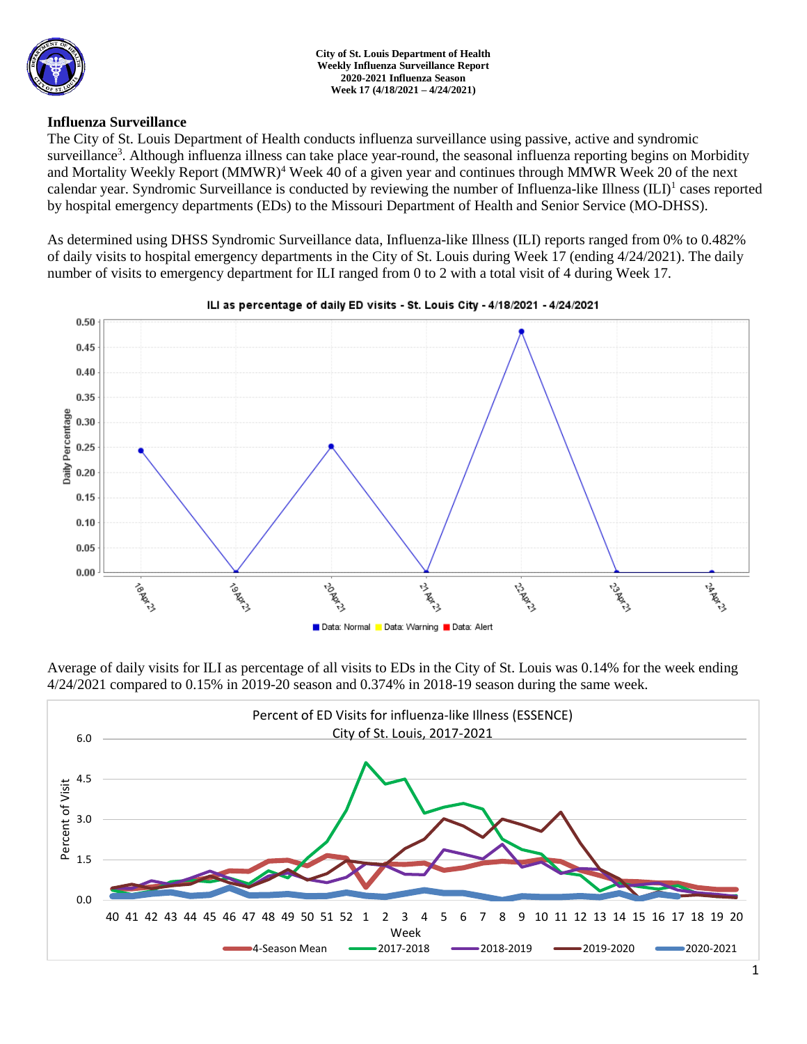

### **Influenza Surveillance**

The City of St. Louis Department of Health conducts influenza surveillance using passive, active and syndromic surveillance<sup>3</sup>. Although influenza illness can take place year-round, the seasonal influenza reporting begins on Morbidity and Mortality Weekly Report (MMWR)<sup>4</sup> Week 40 of a given year and continues through MMWR Week 20 of the next calendar year. Syndromic Surveillance is conducted by reviewing the number of Influenza-like Illness (ILI)<sup>1</sup> cases reported by hospital emergency departments (EDs) to the Missouri Department of Health and Senior Service (MO-DHSS).

As determined using DHSS Syndromic Surveillance data, Influenza-like Illness (ILI) reports ranged from 0% to 0.482% of daily visits to hospital emergency departments in the City of St. Louis during Week 17 (ending 4/24/2021). The daily number of visits to emergency department for ILI ranged from 0 to 2 with a total visit of 4 during Week 17.



Average of daily visits for ILI as percentage of all visits to EDs in the City of St. Louis was 0.14% for the week ending 4/24/2021 compared to 0.15% in 2019-20 season and 0.374% in 2018-19 season during the same week.



#### ILI as percentage of daily ED visits - St. Louis City - 4/18/2021 - 4/24/2021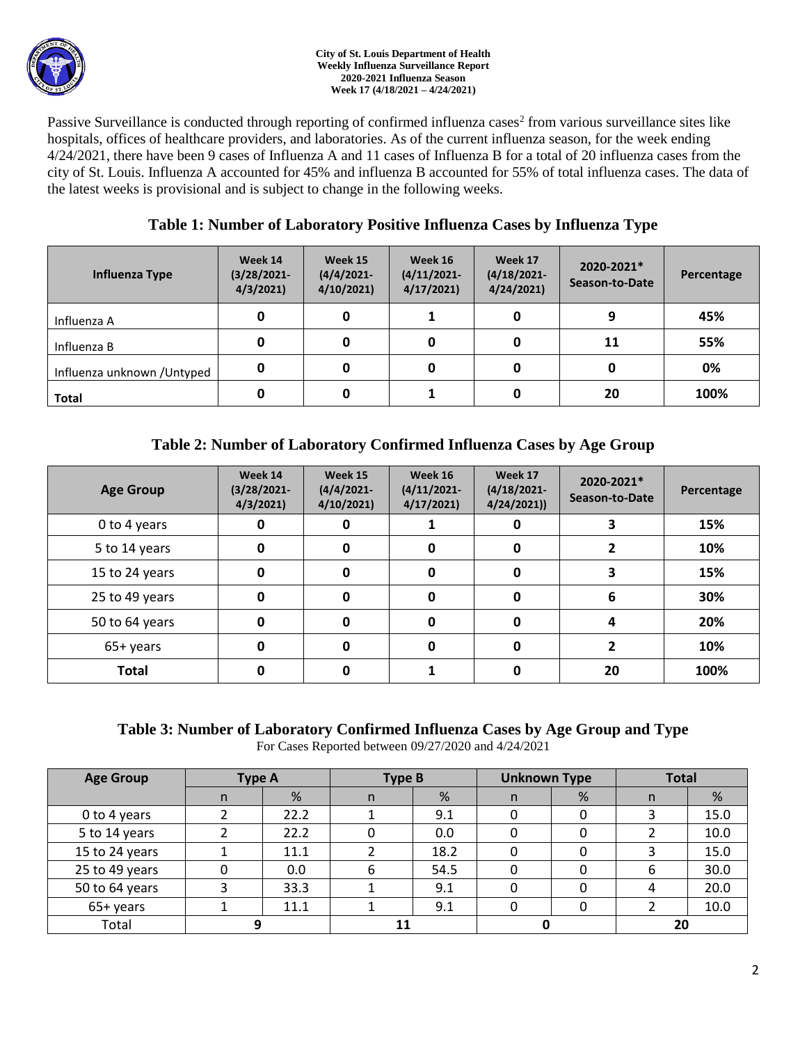

#### **City of St. Louis Department of Health Weekly Influenza Surveillance Report 2020-2021 Influenza Season Week 17 (4/18/2021 – 4/24/2021)**

Passive Surveillance is conducted through reporting of confirmed influenza cases<sup>2</sup> from various surveillance sites like hospitals, offices of healthcare providers, and laboratories. As of the current influenza season, for the week ending 4/24/2021, there have been 9 cases of Influenza A and 11 cases of Influenza B for a total of 20 influenza cases from the city of St. Louis. Influenza A accounted for 45% and influenza B accounted for 55% of total influenza cases. The data of the latest weeks is provisional and is subject to change in the following weeks.

# **Table 1: Number of Laboratory Positive Influenza Cases by Influenza Type**

| Influenza Type              | Week 14<br>$(3/28/2021 -$<br>4/3/2021 | Week 15<br>$(4/4/2021 -$<br>4/10/2021 | Week 16<br>$(4/11/2021 -$<br>4/17/2021 | Week 17<br>$(4/18/2021 -$<br>4/24/2021 | 2020-2021*<br>Season-to-Date | Percentage |
|-----------------------------|---------------------------------------|---------------------------------------|----------------------------------------|----------------------------------------|------------------------------|------------|
| Influenza A                 | 0                                     | 0                                     |                                        |                                        | q                            | 45%        |
| Influenza B                 | 0                                     |                                       | 0                                      |                                        | 11                           | 55%        |
| Influenza unknown / Untyped | 0                                     | 0                                     | 0                                      |                                        | 0                            | 0%         |
| <b>Total</b>                | 0                                     |                                       |                                        |                                        | 20                           | 100%       |

# **Table 2: Number of Laboratory Confirmed Influenza Cases by Age Group**

| <b>Age Group</b> | Week 14<br>$(3/28/2021 -$<br>4/3/2021 | Week 15<br>$(4/4/2021 -$<br>4/10/2021 | Week 16<br>$(4/11/2021 -$<br>4/17/2021 | Week 17<br>$(4/18/2021 -$<br>4/24/2021) | 2020-2021*<br>Season-to-Date | Percentage |
|------------------|---------------------------------------|---------------------------------------|----------------------------------------|-----------------------------------------|------------------------------|------------|
| 0 to 4 years     | 0                                     | 0                                     |                                        | O                                       |                              | 15%        |
| 5 to 14 years    | 0                                     | 0                                     | 0                                      | 0                                       |                              | 10%        |
| 15 to 24 years   | 0                                     | O                                     | 0                                      | 0                                       |                              | 15%        |
| 25 to 49 years   | 0                                     | 0                                     | 0                                      | 0                                       | 6                            | 30%        |
| 50 to 64 years   | 0                                     | 0                                     | 0                                      | 0                                       | 4                            | 20%        |
| 65+ years        | 0                                     | ŋ                                     | 0                                      | 0                                       |                              | 10%        |
| <b>Total</b>     | Ω                                     | n                                     |                                        | 0                                       | 20                           | 100%       |

### **Table 3: Number of Laboratory Confirmed Influenza Cases by Age Group and Type** For Cases Reported between 09/27/2020 and 4/24/2021

| <b>Age Group</b> | Type A |      | Type B |      | <b>Unknown Type</b> |   | <b>Total</b> |      |
|------------------|--------|------|--------|------|---------------------|---|--------------|------|
|                  | n      | %    | n      | %    | n.                  | % | n            | %    |
| 0 to 4 years     |        | 22.2 |        | 9.1  | 0                   |   |              | 15.0 |
| 5 to 14 years    |        | 22.2 |        | 0.0  | O                   |   |              | 10.0 |
| 15 to 24 years   |        | 11.1 |        | 18.2 |                     |   |              | 15.0 |
| 25 to 49 years   |        | 0.0  | 6      | 54.5 |                     |   | 6            | 30.0 |
| 50 to 64 years   |        | 33.3 |        | 9.1  | 0                   |   |              | 20.0 |
| 65+ years        |        | 11.1 |        | 9.1  |                     |   |              | 10.0 |
| Total            |        |      |        |      |                     |   | 20           |      |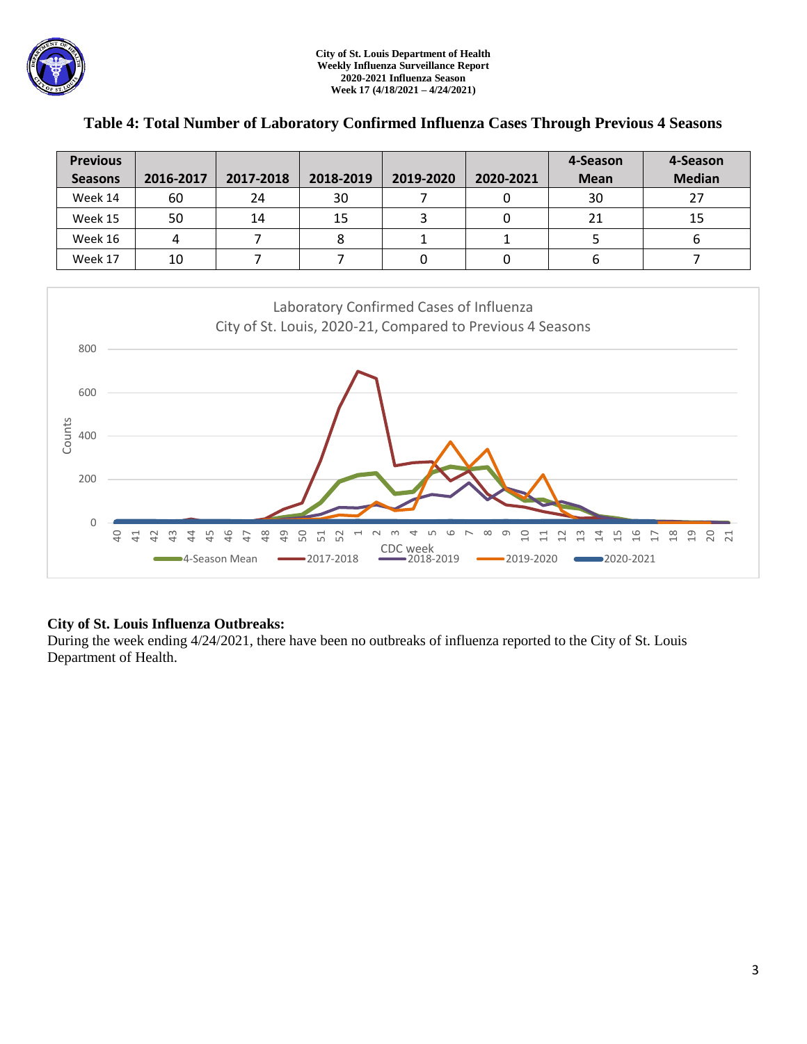

| <b>Previous</b> |           |           |           |           |           | 4-Season    | 4-Season      |
|-----------------|-----------|-----------|-----------|-----------|-----------|-------------|---------------|
| <b>Seasons</b>  | 2016-2017 | 2017-2018 | 2018-2019 | 2019-2020 | 2020-2021 | <b>Mean</b> | <b>Median</b> |
| Week 14         | 60        | 24        | 30        |           |           | 30          | 27            |
| Week 15         | 50        | 14        | 15        |           |           | 21          | 15            |
| Week 16         |           |           |           |           |           |             |               |
| Week 17         | 10        |           |           |           |           | ь           |               |

### **Table 4: Total Number of Laboratory Confirmed Influenza Cases Through Previous 4 Seasons**



## **City of St. Louis Influenza Outbreaks:**

During the week ending 4/24/2021, there have been no outbreaks of influenza reported to the City of St. Louis Department of Health.